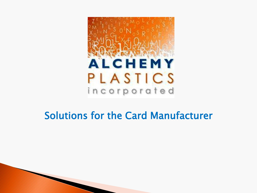

### Solutions for the Card Manufacturer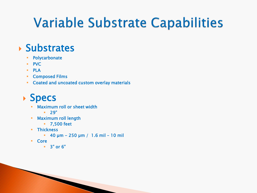## **Variable Substrate Capabilities**

### $\rightarrow$  Substrates

- **-** Polycarbonate
- **PVC**
- PLA
- Composed Films
- **EXECOATED ADDETER COATED AT A LOCATE COATES**

### **Specs**

Maximum roll or sheet width

**The Common Seconds** 

- $-29"$
- Maximum roll length
	- 7,500 feet
- **Thickness** 
	- $-40 \mu m 250 \mu m / 1.6 \text{ mil} 10 \text{ mil}$
- Core
	- 3" or 6"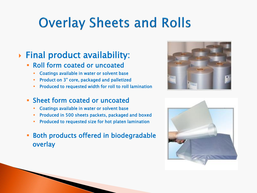## **Overlay Sheets and Rolls**

### Final product availability:

- Roll form coated or uncoated
	- **-** Coatings available in water or solvent base
	- **Product on 3" core, packaged and palletized**
	- Produced to requested width for roll to roll lamination

#### Sheet form coated or uncoated

- **EXECO EXECO ADDET COATINGS** COATINGS AVAILAble in water or solvent base
- Produced in 500 sheets packets, packaged and boxed
- Produced to requested size for hot platen lamination
- Both products offered in biodegradable overlay



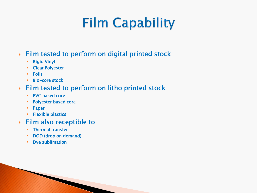## **Film Capability**

#### Film tested to perform on digital printed stock

- **-** Rigid Vinyl
- **-** Clear Polyester
- **Foils**
- **Bio-core stock**

#### Film tested to perform on litho printed stock

- PVC based core
- **Polyester based core**
- **•** Paper
- **Flexible plastics**

#### Film also receptible to

- **FILE** Thermal transfer
- DOD (drop on demand)

**The Company of Company of Company** 

**•** Dye sublimation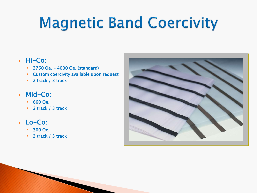# **Magnetic Band Coercivity**

#### Hi-Co:

- 2750 Oe. 4000 Oe. (standard)
- Custom coercivity available upon request
- **2** track / 3 track

#### Mid-Co:

- 660 Oe.
- **2** track / 3 track
- Lo-Co:
	- 300 Oe.
	- **2** track / 3 track

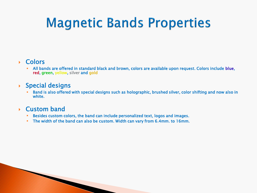## **Magnetic Bands Properties**

#### Colors

 All bands are offered in standard black and brown, colors are available upon request. Colors include blue, red, green, yellow, silver and gold

#### $\rightarrow$  Special designs

 Band is also offered with special designs such as holographic, brushed silver, color shifting and now also in white.

#### Custom band

- Besides custom colors, the band can include personalized text, logos and images.
- The width of the band can also be custom. Width can vary from 6.4mm. to 16mm.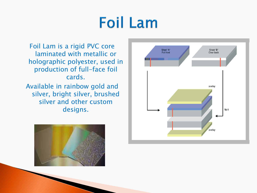# **Foil Lam**

Foil Lam is a rigid PVC core laminated with metallic or holographic polyester, used in production of full-face foil cards. Available in rainbow gold and silver, bright silver, brushed

silver and other custom designs.



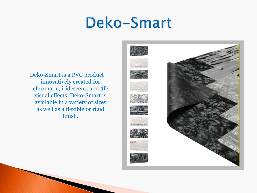## **Deko-Smart**

Deko-Smart is a PVC product innovatively created for chromatic, iridescent, and 3D visual effects. Deko-Smart is available in a variety of sizes as well as a flexible or rigid finish.



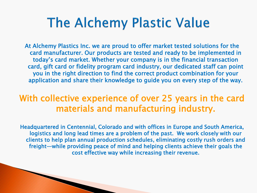### **The Alchemy Plastic Value**

At Alchemy Plastics Inc. we are proud to offer market tested solutions for the card manufacturer. Our products are tested and ready to be implemented in today's card market. Whether your company is in the financial transaction card, gift card or fidelity program card industry, our dedicated staff can point you in the right direction to find the correct product combination for your application and share their knowledge to guide you on every step of the way.

### With collective experience of over 25 years in the card materials and manufacturing industry.

Headquartered in Centennial, Colorado and with offices in Europe and South America, logistics and long lead times are a problem of the past. We work closely with our clients to help plan annual production schedules, eliminating costly rush orders and freight—while providing peace of mind and helping clients achieve their goals the cost effective way while increasing their revenue.

**CONTRACTOR**